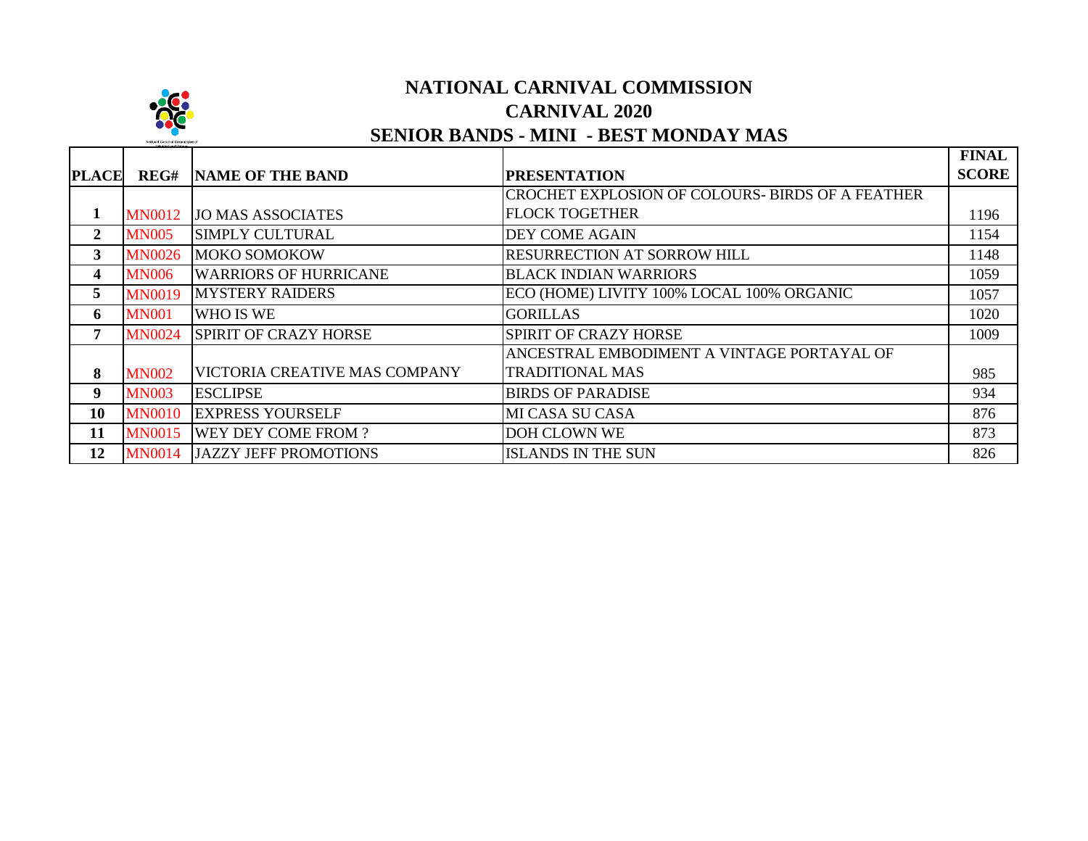

## **NATIONAL CARNIVAL COMMISSION CARNIVAL 2020 SENIOR BANDS - MINI - BEST MONDAY MAS**

|                  |               |                               |                                                  | <b>FINAL</b> |
|------------------|---------------|-------------------------------|--------------------------------------------------|--------------|
| <b>PLACE</b>     | REG#          | <b>NAME OF THE BAND</b>       | <b>PRESENTATION</b>                              | <b>SCORE</b> |
|                  |               |                               | CROCHET EXPLOSION OF COLOURS- BIRDS OF A FEATHER |              |
| 1                | <b>MN0012</b> | <b>JO MAS ASSOCIATES</b>      | <b>FLOCK TOGETHER</b>                            | 1196         |
| $\boldsymbol{2}$ | <b>MN005</b>  | <b>SIMPLY CULTURAL</b>        | <b>DEY COME AGAIN</b>                            | 1154         |
| 3                | <b>MN0026</b> | MOKO SOMOKOW                  | <b>RESURRECTION AT SORROW HILL</b>               | 1148         |
| 4                | <b>MN006</b>  | <b>WARRIORS OF HURRICANE</b>  | <b>BLACK INDIAN WARRIORS</b>                     | 1059         |
| 5                | <b>MN0019</b> | <b>MYSTERY RAIDERS</b>        | ECO (HOME) LIVITY 100% LOCAL 100% ORGANIC        | 1057         |
| 6                | <b>MN001</b>  | WHO IS WE                     | <b>GORILLAS</b>                                  | 1020         |
| 7                | <b>MN0024</b> | <b>SPIRIT OF CRAZY HORSE</b>  | <b>SPIRIT OF CRAZY HORSE</b>                     | 1009         |
|                  |               |                               | ANCESTRAL EMBODIMENT A VINTAGE PORTAYAL OF       |              |
| 8                | <b>MN002</b>  | VICTORIA CREATIVE MAS COMPANY | <b>TRADITIONAL MAS</b>                           | 985          |
| 9                | <b>MN003</b>  | <b>ESCLIPSE</b>               | <b>BIRDS OF PARADISE</b>                         | 934          |
| 10               | <b>MN0010</b> | <b>EXPRESS YOURSELF</b>       | <b>MI CASA SU CASA</b>                           | 876          |
| 11               | <b>MN0015</b> | <b>WEY DEY COME FROM?</b>     | <b>DOH CLOWN WE</b>                              | 873          |
| 12               | <b>MN0014</b> | <b>JAZZY JEFF PROMOTIONS</b>  | <b>ISLANDS IN THE SUN</b>                        | 826          |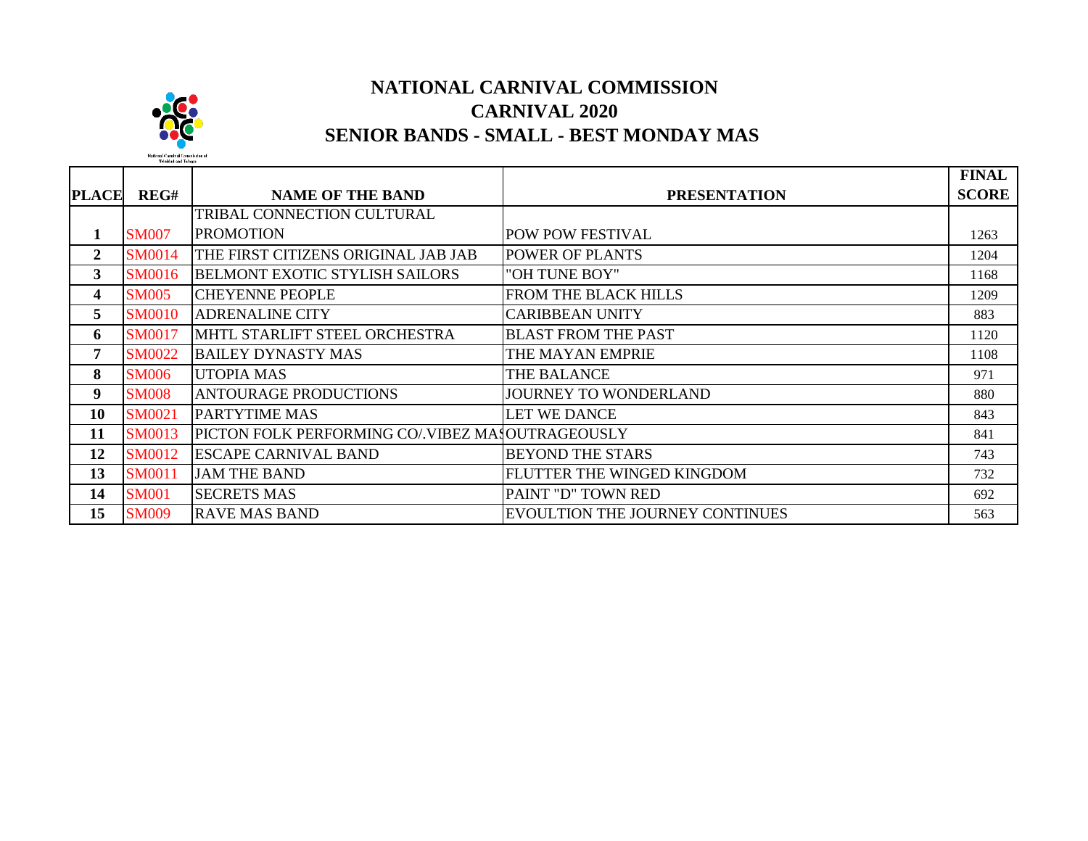

## **NATIONAL CARNIVAL COMMISSION CARNIVAL 2020 SENIOR BANDS - SMALL - BEST MONDAY MAS**

|                         |               |                                                   |                                 | <b>FINAL</b> |
|-------------------------|---------------|---------------------------------------------------|---------------------------------|--------------|
| <b>PLACE</b>            | REG#          | <b>NAME OF THE BAND</b>                           | <b>PRESENTATION</b>             | <b>SCORE</b> |
|                         |               | TRIBAL CONNECTION CULTURAL                        |                                 |              |
| 1                       | <b>SM007</b>  | <b>PROMOTION</b>                                  | POW POW FESTIVAL                | 1263         |
| $\boldsymbol{2}$        | <b>SM0014</b> | THE FIRST CITIZENS ORIGINAL JAB JAB               | POWER OF PLANTS                 | 1204         |
| 3                       | <b>SM0016</b> | <b>BELMONT EXOTIC STYLISH SAILORS</b>             | "OH TUNE BOY"                   | 1168         |
| $\overline{\mathbf{4}}$ | <b>SM005</b>  | <b>CHEYENNE PEOPLE</b>                            | FROM THE BLACK HILLS            | 1209         |
| 5                       | <b>SM0010</b> | <b>ADRENALINE CITY</b>                            | <b>CARIBBEAN UNITY</b>          | 883          |
| 6                       | <b>SM0017</b> | MHTL STARLIFT STEEL ORCHESTRA                     | <b>BLAST FROM THE PAST</b>      | 1120         |
| 7                       | <b>SM0022</b> | <b>BAILEY DYNASTY MAS</b>                         | THE MAYAN EMPRIE                | 1108         |
| 8                       | <b>SM006</b>  | <b>UTOPIA MAS</b>                                 | THE BALANCE                     | 971          |
| 9                       | <b>SM008</b>  | <b>ANTOURAGE PRODUCTIONS</b>                      | JOURNEY TO WONDERLAND           | 880          |
| 10                      | <b>SM0021</b> | <b>PARTYTIME MAS</b>                              | <b>LET WE DANCE</b>             | 843          |
| 11                      | <b>SM0013</b> | PICTON FOLK PERFORMING CO/. VIBEZ MASOUTRAGEOUSLY |                                 | 841          |
| 12                      | <b>SM0012</b> | <b>ESCAPE CARNIVAL BAND</b>                       | <b>BEYOND THE STARS</b>         | 743          |
| 13                      | <b>SM0011</b> | <b>JAM THE BAND</b>                               | FLUTTER THE WINGED KINGDOM      | 732          |
| 14                      | <b>SM001</b>  | <b>SECRETS MAS</b>                                | PAINT "D" TOWN RED              | 692          |
| 15                      | <b>SM009</b>  | <b>RAVE MAS BAND</b>                              | EVOULTION THE JOURNEY CONTINUES | 563          |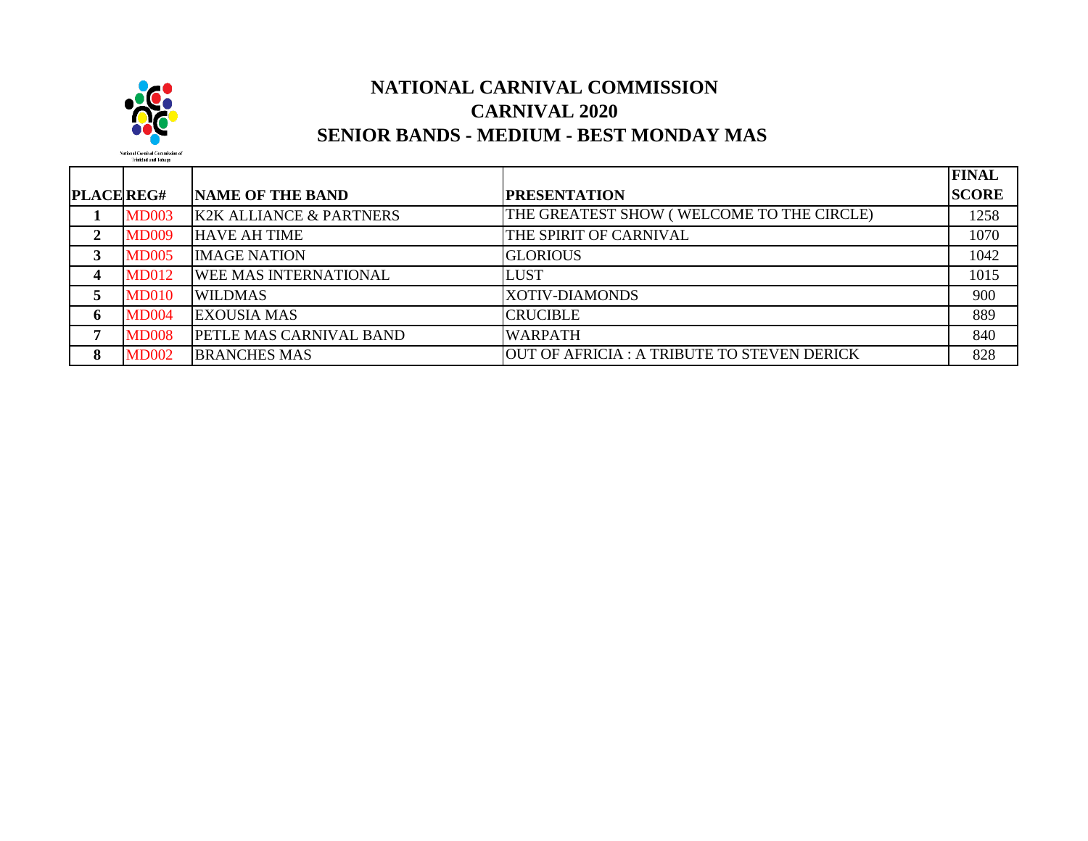

## **NATIONAL CARNIVAL COMMISSION CARNIVAL 2020 SENIOR BANDS - MEDIUM - BEST MONDAY MAS**

|              |              |                                    |                                             | <b>FINAL</b> |
|--------------|--------------|------------------------------------|---------------------------------------------|--------------|
| PLACE REG#   |              | <b>NAME OF THE BAND</b>            | <b>PRESENTATION</b>                         | <b>SCORE</b> |
|              | <b>MD003</b> | <b>K2K ALLIANCE &amp; PARTNERS</b> | THE GREATEST SHOW (WELCOME TO THE CIRCLE)   | 1258         |
| 2            | <b>MD009</b> | <b>HAVE AH TIME</b>                | THE SPIRIT OF CARNIVAL                      | 1070         |
|              | <b>MD005</b> | <b>IMAGE NATION</b>                | <b>GLORIOUS</b>                             | 1042         |
|              | <b>MD012</b> | <b>WEE MAS INTERNATIONAL</b>       | <b>LUST</b>                                 | 1015         |
|              | <b>MD010</b> | <b>WILDMAS</b>                     | <b>XOTIV-DIAMONDS</b>                       | 900          |
| <sup>6</sup> | <b>MD004</b> | <b>EXOUSIA MAS</b>                 | <b>CRUCIBLE</b>                             | 889          |
|              | <b>MD008</b> | <b>PETLE MAS CARNIVAL BAND</b>     | <b>WARPATH</b>                              | 840          |
|              | <b>MD002</b> | <b>BRANCHES MAS</b>                | OUT OF AFRICIA : A TRIBUTE TO STEVEN DERICK | 828          |